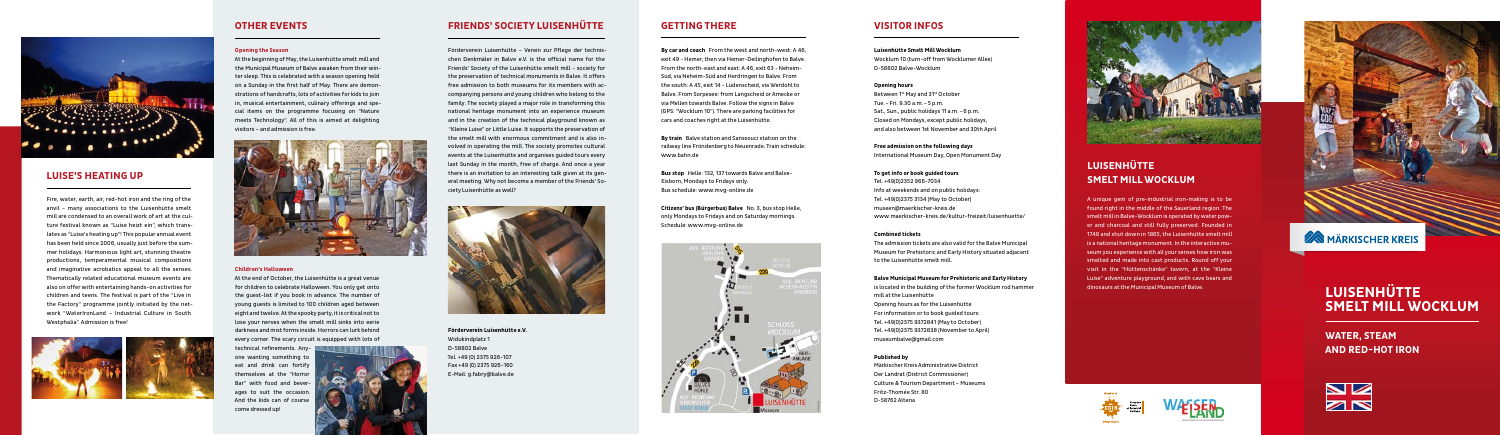## **Friends' Society Luisenhütte**

Förderverein Luisenhütte – Verein zur Pflege der technischen Denkmäler in Balve e.V. is the official name for the Friends' Society of the Luisenhütte smelt mill - society for the preservation of technical monuments in Balve. It offers free admission to both museums for its members with accompanying persons and young children who belong to the family. The society played a major role in transforming this national heritage monument into an experience museum and in the creation of the technical playground known as "Kleine Luise" or Little Luise. It supports the preservation of the smelt mill with enormous commitment and is also involved in operating the mill. The society promotes cultural events at the Luisenhütte and organises guided tours every last Sunday in the month, free of charge. And once a year there is an invitation to an interesting talk given at its general meeting. Why not become a member of the Friends' Society Luisenhütte as well?



**Förderverein Luisenhütte e.V.** Widukindplatz 1 D-58802 Balve Tel. +49 (0) 2375 926-107 Fax +49 (0) 2375 926-160 E-Mail: g.fabry@balve.de

## **Getting there**

Between 1st May and 31st October Tue.–Fri. 9.30 a.m.–5 p.m. Sat., Sun., public holidays 11 a.m.–6 p.m. Closed on Mondays, except public holidays, and also between 1st November and 30th April

**By car and coach** From the west and north-west: A 46, exit 49 - Hemer, then via Hemer-Deilinghofen to Balve. From the north-east and east: A 46, exit 63 - Neheim-Süd, via Neheim-Süd and Herdringen to Balve. From the south: A 45, exit 14 - Lüdenscheid, via Werdohl to Balve. From Sorpesee: from Langscheid or Amecke or via Mellen towards Balve. Follow the signs in Balve (GPS: "Wocklum 10"). There are parking facilities for cars and coaches right at the Luisenhütte.

**By train** Balve station and Sanssouci station on the railway line Fröndenberg to Neuenrade. Train schedule: www.bahn.de

**Bus stop** Helle: 132, 137 towards Balve and Balve-Eisborn, Mondays to Fridays only. Bus schedule: www.mvg-online.de

**Citizens' bus (Bürgerbus) Balve** No. 3, bus stop Helle, only Mondays to Fridays and on Saturday mornings. Schedule: www.mvg-online.de



## **Visitor Infos**

**Luisenhütte Smelt Mill Wocklum** Wocklum 10 (turn-off from Wocklumer Allee) D-58802 Balve-Wocklum

## **Opening hours**

**Free admission on the following days** International Museum Day, Open Monument Day

**To get info or book guided tours** Tel. +49(0)2352 966-7034 Info at weekends and on public holidays: Tel. +49(0)2375 3134 (May to October) museen@maerkischer-kreis.de www.maerkischer-kreis.de/kultur-freizeit/luisenhuette/

### **Combined tickets**

The admission tickets are also valid for the Balve Municipal Museum for Prehistoric and Early History situated adjacent to the Luisenhütte smelt mill.

### **Balve Municipal Museum for Prehistoric and Early History**

is located in the building of the former Wocklum rod hammer mill at the Luisenhütte Opening hours as for the Luisenhütte For information or to book guided tours: Tel. +49(0)2375 9372841 (May to October) Tel. +49(0)2375 9372838 (November to April) museumbalve@gmail.com

### **Published by**

Märkischer Kreis Administrative District Der Landrat (District Commissioner) Culture & Tourism Department – Museums Fritz-Thomée Str. 80 D-58762 Altena



# **Luisenhütte Smelt Mill Wocklum**

# **EXAMBLE MARKISCHER KREIS**



# **Water, Steam and Red-Hot Iron**

# **Luisenhütte Smelt Mill Wocklum**

A unique gem of pre-industrial iron-making is to be found right in the middle of the Sauerland region. The smelt mill in Balve-Wocklum is operated by water power and charcoal and still fully preserved. Founded in 1748 and shut down in 1865, the Luisenhütte smelt mill is a national heritage monument. In the interactive museum you experience with all your senses how iron was smelted and made into cast products. Round off your visit in the "Hüttenschänke" tavern, at the "Kleine Luise" adventure playground, and with cave bears and dinosaurs at the Municipal Museum of Balve.







## **Other Events**

### **Opening the Season**

At the beginning of May, the Luisenhütte smelt mill and the Municipal Museum of Balve awaken from their winter sleep. This is celebrated with a season opening held on a Sunday in the first half of May. There are demonstrations of handcrafts, lots of activities for kids to join in, musical entertainment, culinary offerings and special items on the programme focusing on "Nature meets Technology". All of this is aimed at delighting visitors – and admission is free.



### **Children's Halloween**

At the end of October, the Luisenhütte is a great venue for children to celebrate Halloween. You only get onto the guest-list if you book in advance. The number of young guests is limited to 100 children aged between eight and twelve. At the spooky party, it is critical not to lose your nerves when the smelt mill sinks into eerie darkness and mist forms inside. Horrors can lurk behind every corner. The scary circuit is equipped with lots of

technical refinements. Anyone wanting something to eat and drink can fortify themselves at the "Horror Bar" with food and beverages to suit the occasion. And the kids can of course come dressed up!





## **Luise's heating up**

Fire, water, earth, air, red-hot iron and the ring of the anvil – many associations to the Luisenhütte smelt mill are condensed to an overall work of art at the culture festival known as "Luise heizt ein", which translates as "Luise's heating up"! This popular annual event has been held since 2006, usually just before the summer holidays. Harmonious light art, stunning theatre productions, temperamental musical compositions and imaginative acrobatics appeal to all the senses. Thematically related educational museum events are also on offer with entertaining hands-on activities for children and teens. The festival is part of the "Live in the Factory" programme jointly initiated by the network "WaterIronLand – Industrial Culture in South Westphalia". Admission is free!